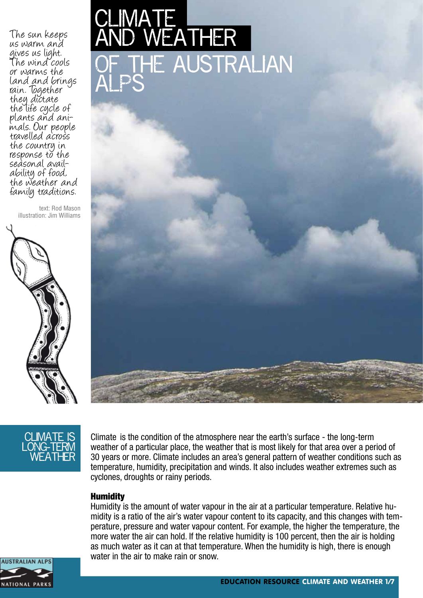The sun keeps us warm and gives us light. The wind cools or warms the land and brings rain. Together they dictate the life cycle of<br>plants and animals. Our people travelled across the country in response to the seàsonal avail-<br>ability of food, the weather and family traditions.

text: Rod Mason illustration: Jim Williams







Climate is the condition of the atmosphere near the earth's surface - the long-term weather of a particular place, the weather that is most likely for that area over a period of 30 years or more. Climate includes an area's general pattern of weather conditions such as temperature, humidity, precipitation and winds. It also includes weather extremes such as cyclones, droughts or rainy periods.

#### **Humidity**

Humidity is the amount of water vapour in the air at a particular temperature. Relative humidity is a ratio of the air's water vapour content to its capacity, and this changes with temperature, pressure and water vapour content. For example, the higher the temperature, the more water the air can hold. If the relative humidity is 100 percent, then the air is holding as much water as it can at that temperature. When the humidity is high, there is enough water in the air to make rain or snow.

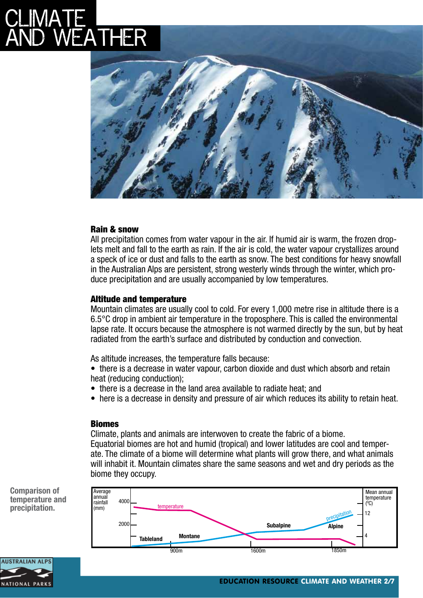# CLIMA LE EATHER



### Rain & snow

All precipitation comes from water vapour in the air. If humid air is warm, the frozen droplets melt and fall to the earth as rain. If the air is cold, the water vapour crystallizes around a speck of ice or dust and falls to the earth as snow. The best conditions for heavy snowfall in the Australian Alps are persistent, strong westerly winds through the winter, which produce precipitation and are usually accompanied by low temperatures.

### Altitude and temperature

Mountain climates are usually cool to cold. For every 1,000 metre rise in altitude there is a 6.5°C drop in ambient air temperature in the troposphere. This is called the environmental lapse rate. It occurs because the atmosphere is not warmed directly by the sun, but by heat radiated from the earth's surface and distributed by conduction and convection.

As altitude increases, the temperature falls because:

• there is a decrease in water vapour, carbon dioxide and dust which absorb and retain heat (reducing conduction);

- there is a decrease in the land area available to radiate heat; and
- here is a decrease in density and pressure of air which reduces its ability to retain heat.

### Biomes

Climate, plants and animals are interwoven to create the fabric of a biome. Equatorial biomes are hot and humid (tropical) and lower latitudes are cool and temperate. The climate of a biome will determine what plants will grow there, and what animals will inhabit it. Mountain climates share the same seasons and wet and dry periods as the biome they occupy.

**Comparison of temperature and precipitation.**



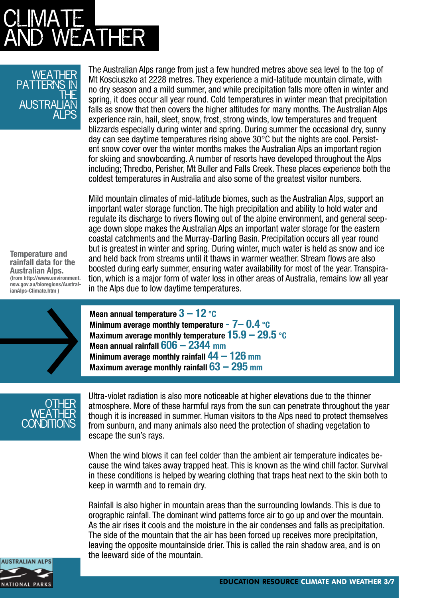# CLIMA LE  $\mathsf{\Xi}\mathsf{ATHER}$

### WEATHER patterns in the Australian Alps

The Australian Alps range from just a few hundred metres above sea level to the top of Mt Kosciuszko at 2228 metres. They experience a mid-latitude mountain climate, with no dry season and a mild summer, and while precipitation falls more often in winter and spring, it does occur all year round. Cold temperatures in winter mean that precipitation falls as snow that then covers the higher altitudes for many months. The Australian Alps experience rain, hail, sleet, snow, frost, strong winds, low temperatures and frequent blizzards especially during winter and spring. During summer the occasional dry, sunny day can see daytime temperatures rising above  $30^{\circ}$ C but the nights are cool. Persistent snow cover over the winter months makes the Australian Alps an important region for skiing and snowboarding. A number of resorts have developed throughout the Alps including; Thredbo, Perisher, Mt Buller and Falls Creek. These places experience both the coldest temperatures in Australia and also some of the greatest visitor numbers.

Mild mountain climates of mid-latitude biomes, such as the Australian Alps, support an important water storage function. The high precipitation and ability to hold water and regulate its discharge to rivers flowing out of the alpine environment, and general seepage down slope makes the Australian Alps an important water storage for the eastern coastal catchments and the Murray-Darling Basin. Precipitation occurs all year round but is greatest in winter and spring. During winter, much water is held as snow and ice and held back from streams until it thaws in warmer weather. Stream flows are also boosted during early summer, ensuring water availability for most of the year. Transpiration, which is a major form of water loss in other areas of Australia, remains low all year in the Alps due to low daytime temperatures.

**Temperature and rainfall data for the Australian Alps. (from http://www.environment. nsw.gov.au/bioregions/AustralianAlps-Climate.htm )**



**Mean annual temperature 3 – 12 °C Minimum average monthly temperature - 7– 0.4 °C Maximum average monthly temperature 15.9 – 29.5 °C Mean annual rainfall 606 – 2344 mm Minimum average monthly rainfall 44 – 126 mm Maximum average monthly rainfall 63 – 295 mm**



Ultra-violet radiation is also more noticeable at higher elevations due to the thinner atmosphere. More of these harmful rays from the sun can penetrate throughout the year though it is increased in summer. Human visitors to the Alps need to protect themselves from sunburn, and many animals also need the protection of shading vegetation to escape the sun's rays.

When the wind blows it can feel colder than the ambient air temperature indicates because the wind takes away trapped heat. This is known as the wind chill factor. Survival in these conditions is helped by wearing clothing that traps heat next to the skin both to keep in warmth and to remain dry.

Rainfall is also higher in mountain areas than the surrounding lowlands. This is due to orographic rainfall. The dominant wind patterns force air to go up and over the mountain. As the air rises it cools and the moisture in the air condenses and falls as precipitation. The side of the mountain that the air has been forced up receives more precipitation, leaving the opposite mountainside drier. This is called the rain shadow area, and is on the leeward side of the mountain.

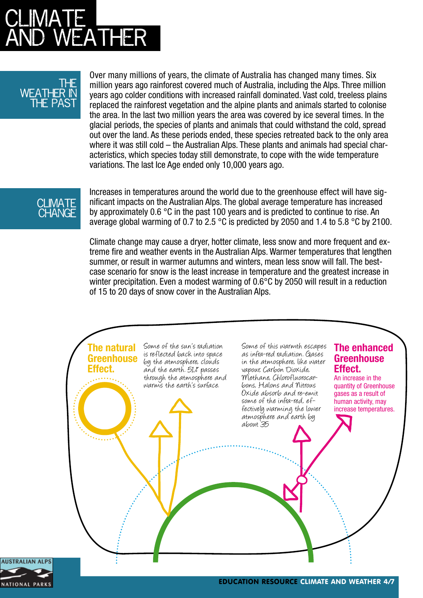# CLIMA LE ATHER

### The **WEATHER** THE PAS

Over many millions of years, the climate of Australia has changed many times. Six million years ago rainforest covered much of Australia, including the Alps. Three million years ago colder conditions with increased rainfall dominated. Vast cold, treeless plains replaced the rainforest vegetation and the alpine plants and animals started to colonise the area. In the last two million years the area was covered by ice several times. In the glacial periods, the species of plants and animals that could withstand the cold, spread out over the land. As these periods ended, these species retreated back to the only area where it was still cold – the Australian Alps. These plants and animals had special characteristics, which species today still demonstrate, to cope with the wide temperature variations. The last Ice Age ended only 10,000 years ago.

### **CLIMATE CHANGE**

Increases in temperatures around the world due to the greenhouse effect will have significant impacts on the Australian Alps. The global average temperature has increased by approximately 0.6 °C in the past 100 years and is predicted to continue to rise. An average global warming of 0.7 to 2.5 °C is predicted by 2050 and 1.4 to 5.8 °C by 2100.

Climate change may cause a dryer, hotter climate, less snow and more frequent and extreme fire and weather events in the Australian Alps. Warmer temperatures that lengthen summer, or result in warmer autumns and winters, mean less snow will fall. The bestcase scenario for snow is the least increase in temperature and the greatest increase in winter precipitation. Even a modest warming of 0.6°C by 2050 will result in a reduction of 15 to 20 days of snow cover in the Australian Alps.



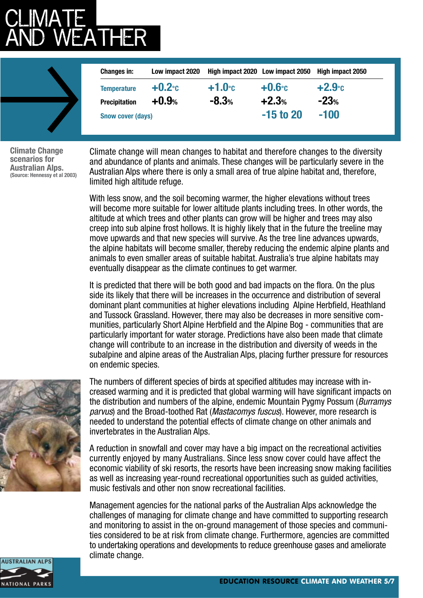# CLIMA LE **NEATHER**

| <b>Changes in:</b>       | Low impact 2020 |                     | High impact 2020 Low impact 2050 | High impact 2050    |
|--------------------------|-----------------|---------------------|----------------------------------|---------------------|
| <b>Temperature</b>       | $+0.2$ °C       | $+1.0$ <sup>c</sup> | $+0.6$ °c                        | $+2.9$ <sup>°</sup> |
| <b>Precipitation</b>     | $+0.9%$         | $-8.3%$             | $+2.3%$                          | $-23%$              |
| <b>Snow cover (days)</b> |                 |                     | $-15$ to 20                      | $-100$              |

**Climate Change scenarios for Australian Alps. (Source: Hennessy et al 2003)**

Climate change will mean changes to habitat and therefore changes to the diversity and abundance of plants and animals. These changes will be particularly severe in the Australian Alps where there is only a small area of true alpine habitat and, therefore, limited high altitude refuge.

With less snow, and the soil becoming warmer, the higher elevations without trees will become more suitable for lower altitude plants including trees. In other words, the altitude at which trees and other plants can grow will be higher and trees may also creep into sub alpine frost hollows. It is highly likely that in the future the treeline may move upwards and that new species will survive. As the tree line advances upwards, the alpine habitats will become smaller, thereby reducing the endemic alpine plants and animals to even smaller areas of suitable habitat. Australia's true alpine habitats may eventually disappear as the climate continues to get warmer.

It is predicted that there will be both good and bad impacts on the flora. On the plus side its likely that there will be increases in the occurrence and distribution of several dominant plant communities at higher elevations including Alpine Herbfield, Heathland and Tussock Grassland. However, there may also be decreases in more sensitive communities, particularly Short Alpine Herbfield and the Alpine Bog - communities that are particularly important for water storage. Predictions have also been made that climate change will contribute to an increase in the distribution and diversity of weeds in the subalpine and alpine areas of the Australian Alps, placing further pressure for resources on endemic species.



The numbers of different species of birds at specified altitudes may increase with increased warming and it is predicted that global warming will have significant impacts on the distribution and numbers of the alpine, endemic Mountain Pygmy Possum (*Burramys parvus*) and the Broad-toothed Rat (*Mastacomys fuscus*). However, more research is needed to understand the potential effects of climate change on other animals and invertebrates in the Australian Alps.

A reduction in snowfall and cover may have a big impact on the recreational activities currently enjoyed by many Australians. Since less snow cover could have affect the economic viability of ski resorts, the resorts have been increasing snow making facilities as well as increasing year-round recreational opportunities such as guided activities, music festivals and other non snow recreational facilities.

Management agencies for the national parks of the Australian Alps acknowledge the challenges of managing for climate change and have committed to supporting research and monitoring to assist in the on-ground management of those species and communities considered to be at risk from climate change. Furthermore, agencies are committed to undertaking operations and developments to reduce greenhouse gases and ameliorate climate change.

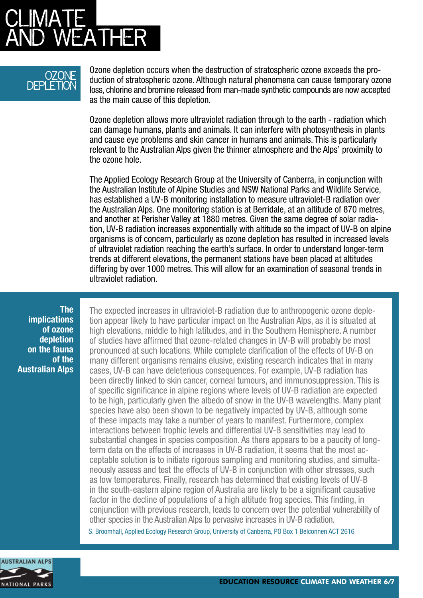# CLIMA LE WEATHER

## Ozone DEPLETION

Ozone depletion occurs when the destruction of stratospheric ozone exceeds the production of stratospheric ozone. Although natural phenomena can cause temporary ozone loss, chlorine and bromine released from man-made synthetic compounds are now accepted as the main cause of this depletion.

Ozone depletion allows more ultraviolet radiation through to the earth - radiation which can damage humans, plants and animals. It can interfere with photosynthesis in plants and cause eye problems and skin cancer in humans and animals. This is particularly relevant to the Australian Alps given the thinner atmosphere and the Alps' proximity to the ozone hole.

The Applied Ecology Research Group at the University of Canberra, in conjunction with the Australian Institute of Alpine Studies and NSW National Parks and Wildlife Service, has established a UV-B monitoring installation to measure ultraviolet-B radiation over the Australian Alps. One monitoring station is at Berridale, at an altitude of 870 metres, and another at Perisher Valley at 1880 metres. Given the same degree of solar radiation, UV-B radiation increases exponentially with altitude so the impact of UV-B on alpine organisms is of concern, particularly as ozone depletion has resulted in increased levels of ultraviolet radiation reaching the earth's surface. In order to understand longer-term trends at different elevations, the permanent stations have been placed at altitudes differing by over 1000 metres. This will allow for an examination of seasonal trends in ultraviolet radiation.

**The implications of ozone depletion on the fauna of the Australian Alps**

The expected increases in ultraviolet-B radiation due to anthropogenic ozone depletion appear likely to have particular impact on the Australian Alps, as it is situated at high elevations, middle to high latitudes, and in the Southern Hemisphere. A number of studies have affirmed that ozone-related changes in UV-B will probably be most pronounced at such locations. While complete clarification of the effects of UV-B on many different organisms remains elusive, existing research indicates that in many cases, UV-B can have deleterious consequences. For example, UV-B radiation has been directly linked to skin cancer, corneal tumours, and immunosuppression. This is of specific significance in alpine regions where levels of UV-B radiation are expected to be high, particularly given the albedo of snow in the UV-B wavelengths. Many plant species have also been shown to be negatively impacted by UV-B, although some of these impacts may take a number of years to manifest. Furthermore, complex interactions between trophic levels and differential UV-B sensitivities may lead to substantial changes in species composition. As there appears to be a paucity of longterm data on the effects of increases in UV-B radiation, it seems that the most acceptable solution is to initiate rigorous sampling and monitoring studies, and simultaneously assess and test the effects of UV-B in conjunction with other stresses, such as low temperatures. Finally, research has determined that existing levels of UV-B in the south-eastern alpine region of Australia are likely to be a significant causative factor in the decline of populations of a high altitude frog species. This finding, in conjunction with previous research, leads to concern over the potential vulnerability of other species in the Australian Alps to pervasive increases in UV-B radiation.

S. Broomhall, Applied Ecology Research Group, University of Canberra, PO Box 1 Belconnen ACT 2616